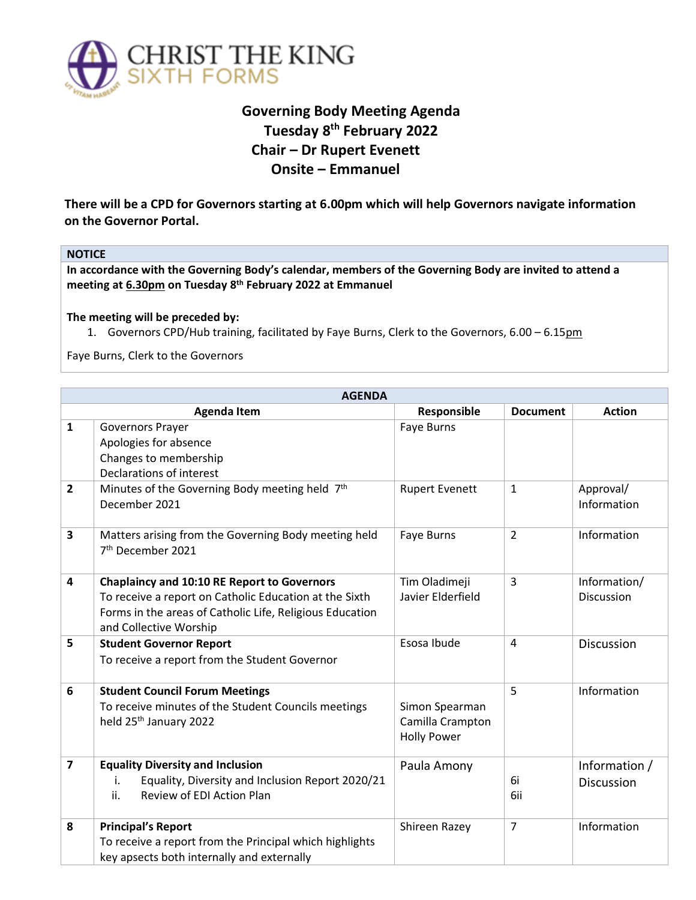

## **Governing Body Meeting Agenda Tuesday 8 th February 2022 Chair – Dr Rupert Evenett Onsite – Emmanuel**

**There will be a CPD for Governors starting at 6.00pm which will help Governors navigate information on the Governor Portal.** 

## **NOTICE**

**In accordance with the Governing Body's calendar, members of the Governing Body are invited to attend a meeting at 6.30pm on Tuesday 8 th February 2022 at Emmanuel**

## **The meeting will be preceded by:**

1. Governors CPD/Hub training, facilitated by Faye Burns, Clerk to the Governors, 6.00 – 6.15pm

Faye Burns, Clerk to the Governors

| <b>AGENDA</b>           |                                                                                                                                                                                                    |                                                          |                 |                                   |  |  |
|-------------------------|----------------------------------------------------------------------------------------------------------------------------------------------------------------------------------------------------|----------------------------------------------------------|-----------------|-----------------------------------|--|--|
|                         | <b>Agenda Item</b>                                                                                                                                                                                 | Responsible                                              | <b>Document</b> | <b>Action</b>                     |  |  |
| $\mathbf{1}$            | <b>Governors Prayer</b><br>Apologies for absence<br>Changes to membership<br>Declarations of interest                                                                                              | Faye Burns                                               |                 |                                   |  |  |
| $\overline{2}$          | Minutes of the Governing Body meeting held 7th<br>December 2021                                                                                                                                    | <b>Rupert Evenett</b>                                    | $\mathbf{1}$    | Approval/<br>Information          |  |  |
| 3                       | Matters arising from the Governing Body meeting held<br>7 <sup>th</sup> December 2021                                                                                                              | Faye Burns                                               | $\overline{2}$  | Information                       |  |  |
| $\overline{\mathbf{4}}$ | <b>Chaplaincy and 10:10 RE Report to Governors</b><br>To receive a report on Catholic Education at the Sixth<br>Forms in the areas of Catholic Life, Religious Education<br>and Collective Worship | Tim Oladimeji<br>Javier Elderfield                       | 3               | Information/<br><b>Discussion</b> |  |  |
| 5                       | <b>Student Governor Report</b><br>To receive a report from the Student Governor                                                                                                                    | Esosa Ibude                                              | 4               | Discussion                        |  |  |
| 6                       | <b>Student Council Forum Meetings</b><br>To receive minutes of the Student Councils meetings<br>held 25 <sup>th</sup> January 2022                                                                 | Simon Spearman<br>Camilla Crampton<br><b>Holly Power</b> | 5               | Information                       |  |  |
| $\overline{\mathbf{z}}$ | <b>Equality Diversity and Inclusion</b><br>Equality, Diversity and Inclusion Report 2020/21<br>i.<br>Review of EDI Action Plan<br>ii.                                                              | Paula Amony                                              | 6i<br>6ii       | Information /<br>Discussion       |  |  |
| 8                       | <b>Principal's Report</b><br>To receive a report from the Principal which highlights<br>key apsects both internally and externally                                                                 | Shireen Razey                                            | $\overline{7}$  | Information                       |  |  |